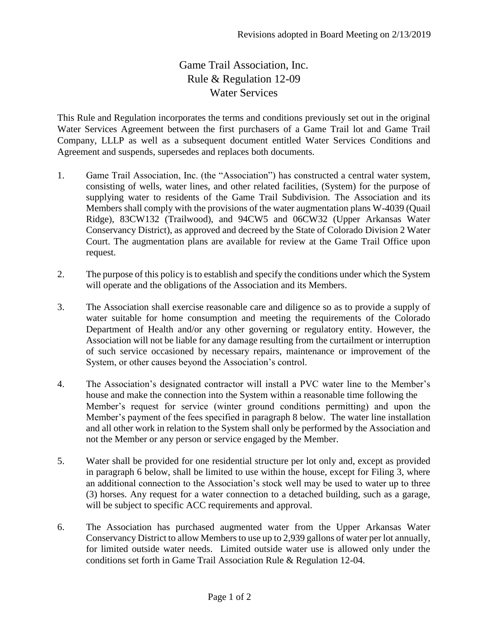## Game Trail Association, Inc. Rule & Regulation 12-09 Water Services

This Rule and Regulation incorporates the terms and conditions previously set out in the original Water Services Agreement between the first purchasers of a Game Trail lot and Game Trail Company, LLLP as well as a subsequent document entitled Water Services Conditions and Agreement and suspends, supersedes and replaces both documents.

- 1. Game Trail Association, Inc. (the "Association") has constructed a central water system, consisting of wells, water lines, and other related facilities, (System) for the purpose of supplying water to residents of the Game Trail Subdivision. The Association and its Members shall comply with the provisions of the water augmentation plans W-4039 (Quail Ridge), 83CW132 (Trailwood), and 94CW5 and 06CW32 (Upper Arkansas Water Conservancy District), as approved and decreed by the State of Colorado Division 2 Water Court. The augmentation plans are available for review at the Game Trail Office upon request.
- 2. The purpose of this policy is to establish and specify the conditions under which the System will operate and the obligations of the Association and its Members.
- 3. The Association shall exercise reasonable care and diligence so as to provide a supply of water suitable for home consumption and meeting the requirements of the Colorado Department of Health and/or any other governing or regulatory entity. However, the Association will not be liable for any damage resulting from the curtailment or interruption of such service occasioned by necessary repairs, maintenance or improvement of the System, or other causes beyond the Association's control.
- 4. The Association's designated contractor will install a PVC water line to the Member's house and make the connection into the System within a reasonable time following the Member's request for service (winter ground conditions permitting) and upon the Member's payment of the fees specified in paragraph 8 below. The water line installation and all other work in relation to the System shall only be performed by the Association and not the Member or any person or service engaged by the Member.
- 5. Water shall be provided for one residential structure per lot only and, except as provided in paragraph 6 below, shall be limited to use within the house, except for Filing 3, where an additional connection to the Association's stock well may be used to water up to three (3) horses. Any request for a water connection to a detached building, such as a garage, will be subject to specific ACC requirements and approval.
- 6. The Association has purchased augmented water from the Upper Arkansas Water Conservancy District to allow Members to use up to 2,939 gallons of water per lot annually, for limited outside water needs. Limited outside water use is allowed only under the conditions set forth in Game Trail Association Rule & Regulation 12-04.